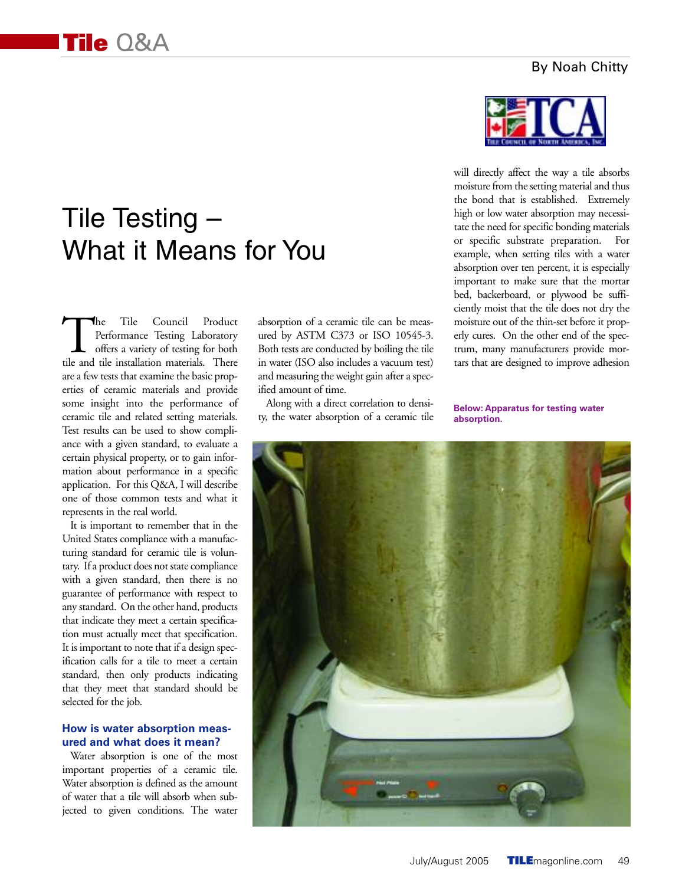### By Noah Chitty

# Tile Testing – What it Means for You

The Tile Council Product<br>Performance Testing Laboratory<br>offers a variety of testing for both<br>tile and tile installation materials. There Performance Testing Laboratory offers a variety of testing for both tile and tile installation materials. There are a few tests that examine the basic properties of ceramic materials and provide some insight into the performance of ceramic tile and related setting materials. Test results can be used to show compliance with a given standard, to evaluate a certain physical property, or to gain information about performance in a specific application. For this Q&A, I will describe one of those common tests and what it represents in the real world.

It is important to remember that in the United States compliance with a manufacturing standard for ceramic tile is voluntary. If a product does not state compliance with a given standard, then there is no guarantee of performance with respect to any standard. On the other hand, products that indicate they meet a certain specification must actually meet that specification. It is important to note that if a design specification calls for a tile to meet a certain standard, then only products indicating that they meet that standard should be selected for the job.

#### **How is water absorption measured and what does it mean?**

Water absorption is one of the most important properties of a ceramic tile. Water absorption is defined as the amount of water that a tile will absorb when subjected to given conditions. The water

absorption of a ceramic tile can be measured by ASTM C373 or ISO 10545-3. Both tests are conducted by boiling the tile in water (ISO also includes a vacuum test) and measuring the weight gain after a specified amount of time.

Along with a direct correlation to density, the water absorption of a ceramic tile



will directly affect the way a tile absorbs moisture from the setting material and thus the bond that is established. Extremely high or low water absorption may necessitate the need for specific bonding materials or specific substrate preparation. For example, when setting tiles with a water absorption over ten percent, it is especially important to make sure that the mortar bed, backerboard, or plywood be sufficiently moist that the tile does not dry the moisture out of the thin-set before it properly cures. On the other end of the spectrum, many manufacturers provide mortars that are designed to improve adhesion

**Below: Apparatus for testing water absorption.**